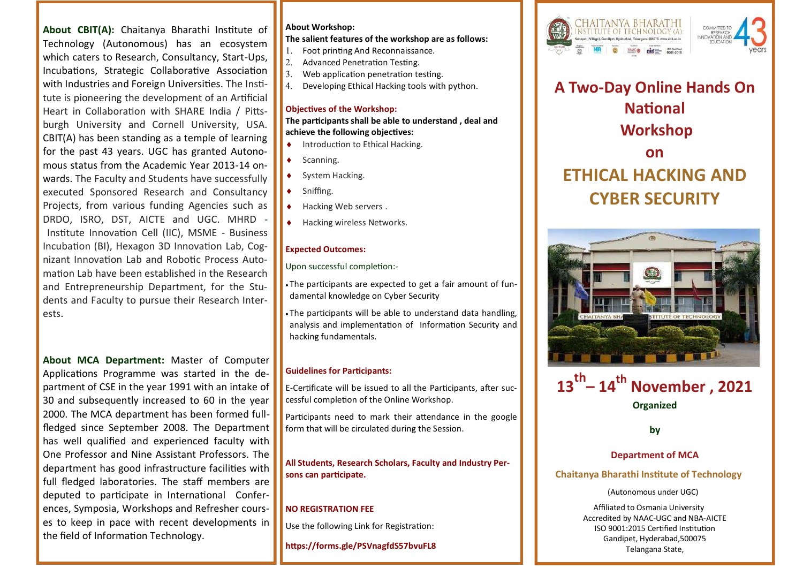**About CBIT(A):** Chaitanya Bharathi Institute of Technology (Autonomous) has an ecosystem which caters to Research, Consultancy, Start-Ups, Incubations, Strategic Collaborative Association with Industries and Foreign Universities. The Institute is pioneering the development of an Artificial Heart in Collaboration with SHARE India / Pittsburgh University and Cornell University, USA. CBIT(A) has been standing as a temple of learning for the past 43 years. UGC has granted Autonomous status from the Academic Year 2013-14 onwards. The Faculty and Students have successfully executed Sponsored Research and Consultancy Projects, from various funding Agencies such as DRDO, ISRO, DST, AICTE and UGC. MHRD - Institute Innovation Cell (IIC), MSME - Business Incubation (BI), Hexagon 3D Innovation Lab, Cognizant Innovation Lab and Robotic Process Automation Lab have been established in the Research and Entrepreneurship Department, for the Students and Faculty to pursue their Research Interests.

**About MCA Department:** Master of Computer Applications Programme was started in the department of CSE in the year 1991 with an intake of 30 and subsequently increased to 60 in the year 2000. The MCA department has been formed fullfledged since September 2008. The Department has well qualified and experienced faculty with One Professor and Nine Assistant Professors. The department has good infrastructure facilities with full fledged laboratories. The staff members are deputed to participate in International Conferences, Symposia, Workshops and Refresher courses to keep in pace with recent developments in the field of Information Technology.

## **About Workshop:**

**The salient features of the workshop are as follows:**

- 1. Foot printing And Reconnaissance.
- $2.$  Advanced Penetration Testing.
- $\overline{\phantom{a}}$  3. Web application penetration testing.
- 4. Developing Ethical Hacking tools with python.

## **Objectives of the Workshop:**

**The participants shall be able to understand , deal and achieve the following objectives:** 

- $\bullet$  Introduction to Ethical Hacking.
- Scanning.
- System Hacking.
- Sniffing.
- Hacking Web servers .
- Hacking wireless Networks.

## **Expected Outcomes:**

Upon successful completion:-

- The participants are expected to get a fair amount of fundamental knowledge on Cyber Security
- The participants will be able to understand data handling, analysis and implementation of Information Security and hacking fundamentals.

#### **Guidelines for Participants:**

E-Certificate will be issued to all the Participants, after successful completion of the Online Workshop.

Participants need to mark their attendance in the google form that will be circulated during the Session.

**All Students, Research Scholars, Faculty and Industry Persons can participate.**

# **NO REGISTRATION FEE**

Use the following Link for Registration:

**https://forms.gle/PSVnagfdS57bvuFL8**



**A Two-Day Online Hands On National Workshop on ETHICAL HACKING AND CYBER SECURITY**





**by**

# **Department of MCA**

## **Chaitanya Bharathi Institute of Technology**

#### (Autonomous under UGC)

Affiliated to Osmania University Accredited by NAAC-UGC and NBA-AICTE ISO 9001:2015 Certified Institution Gandipet, Hyderabad,500075 Telangana State,